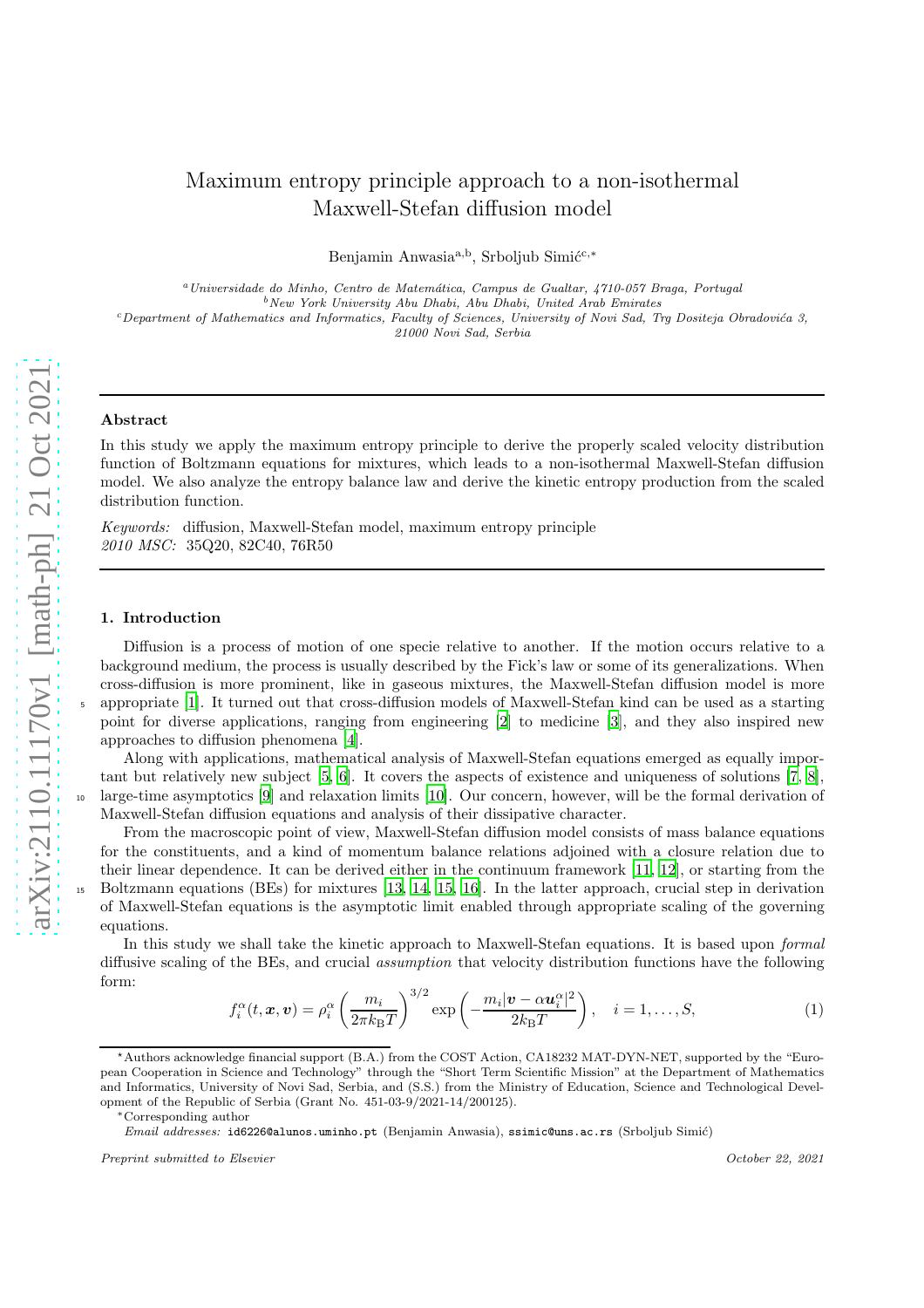# Maximum entropy principle approach to a non-isothermal Maxwell-Stefan diffusion model

Benjamin Anwasia<sup>a,b</sup>, Srboljub Simić<sup>c,\*</sup>

<sup>a</sup>Universidade do Minho, Centro de Matem´atica, Campus de Gualtar, 4710-057 Braga, Portugal  $b$ New York University Abu Dhabi, Abu Dhabi, United Arab Emirates  $c$ Department of Mathematics and Informatics, Faculty of Sciences, University of Novi Sad, Trg Dositeja Obradovića 3, 21000 Novi Sad, Serbia

### Abstract

In this study we apply the maximum entropy principle to derive the properly scaled velocity distribution function of Boltzmann equations for mixtures, which leads to a non-isothermal Maxwell-Stefan diffusion model. We also analyze the entropy balance law and derive the kinetic entropy production from the scaled distribution function.

*Keywords:* diffusion, Maxwell-Stefan model, maximum entropy principle *2010 MSC:* 35Q20, 82C40, 76R50

#### 1. Introduction

Diffusion is a process of motion of one specie relative to another. If the motion occurs relative to a background medium, the process is usually described by the Fick's law or some of its generalizations. When cross-diffusion is more prominent, like in gaseous mixtures, the Maxwell-Stefan diffusion model is more <sup>5</sup> appropriate [\[1](#page-6-0)]. It turned out that cross-diffusion models of Maxwell-Stefan kind can be used as a starting point for diverse applications, ranging from engineering [\[2\]](#page-6-1) to medicine [\[3](#page-6-2)], and they also inspired new approaches to diffusion phenomena [\[4](#page-6-3)].

Along with applications, mathematical analysis of Maxwell-Stefan equations emerged as equally important but relatively new subject [\[5](#page-6-4), [6](#page-6-5)]. It covers the aspects of existence and uniqueness of solutions [\[7,](#page-6-6) [8](#page-6-7)], large-time asymptotics  $[9]$  and relaxation limits  $[10]$ . Our concern, however, will be the formal derivation of Maxwell-Stefan diffusion equations and analysis of their dissipative character.

From the macroscopic point of view, Maxwell-Stefan diffusion model consists of mass balance equations for the constituents, and a kind of momentum balance relations adjoined with a closure relation due to their linear dependence. It can be derived either in the continuum framework [\[11](#page-6-10), [12](#page-6-11)], or starting from the <sup>15</sup> Boltzmann equations (BEs) for mixtures [\[13](#page-6-12), [14,](#page-6-13) [15,](#page-6-14) [16\]](#page-6-15). In the latter approach, crucial step in derivation of Maxwell-Stefan equations is the asymptotic limit enabled through appropriate scaling of the governing equations.

<span id="page-0-0"></span>In this study we shall take the kinetic approach to Maxwell-Stefan equations. It is based upon *formal* diffusive scaling of the BEs, and crucial *assumption* that velocity distribution functions have the following form:

$$
f_i^{\alpha}(t, \boldsymbol{x}, \boldsymbol{v}) = \rho_i^{\alpha} \left( \frac{m_i}{2\pi k_{\rm B}T} \right)^{3/2} \exp\left( -\frac{m_i |\boldsymbol{v} - \alpha \boldsymbol{u}_i^{\alpha}|^2}{2k_{\rm B}T} \right), \quad i = 1, \dots, S,
$$
 (1)

<sup>⋆</sup>Authors acknowledge financial support (B.A.) from the COST Action, CA18232 MAT-DYN-NET, supported by the "European Cooperation in Science and Technology" through the "Short Term Scientific Mission" at the Department of Mathematics and Informatics, University of Novi Sad, Serbia, and (S.S.) from the Ministry of Education, Science and Technological Development of the Republic of Serbia (Grant No. 451-03-9/2021-14/200125).

<sup>∗</sup>Corresponding author

Email addresses: id6226@alunos.uminho.pt (Benjamin Anwasia), ssimic@uns.ac.rs (Srboljub Simić)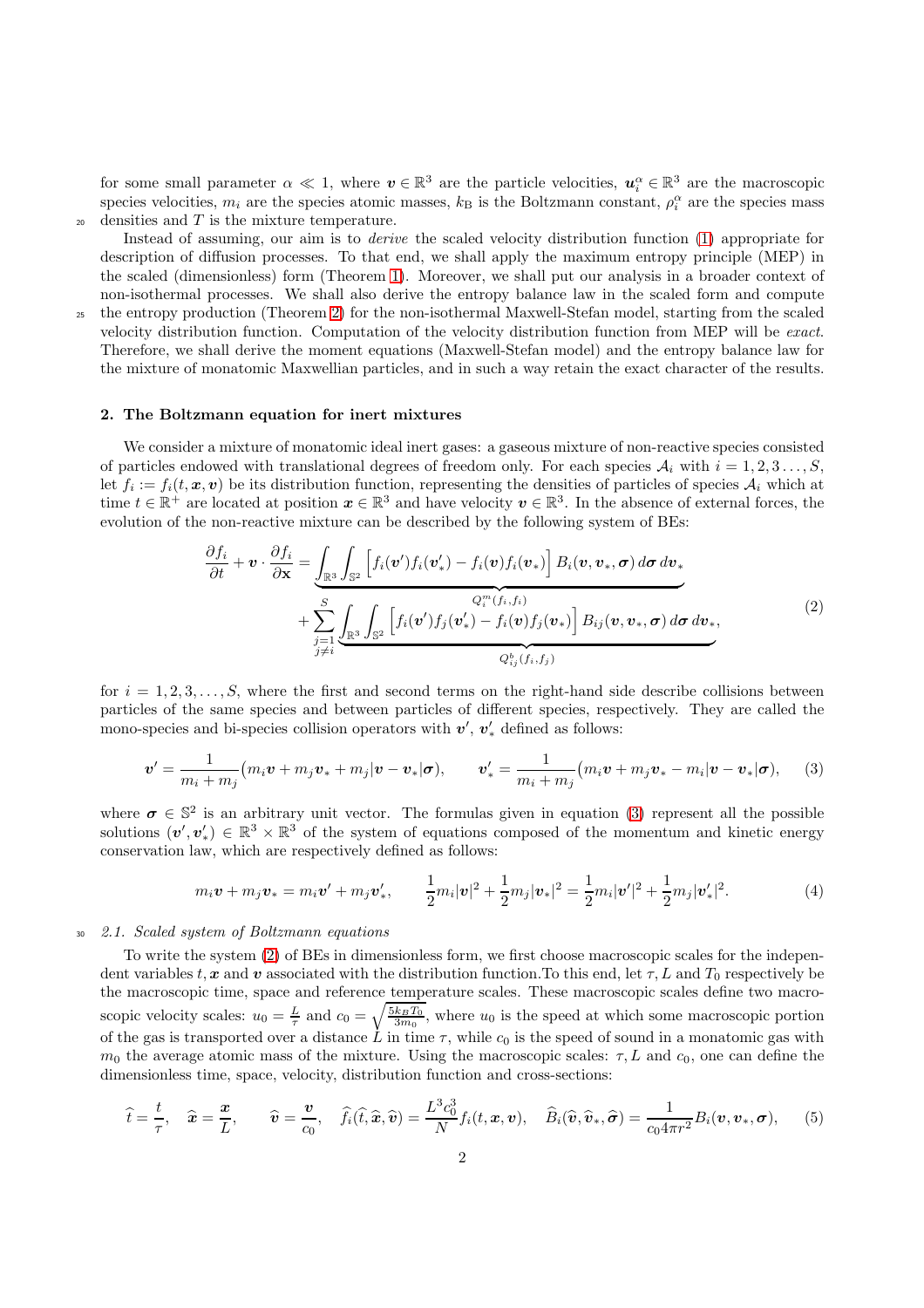for some small parameter  $\alpha \ll 1$ , where  $v \in \mathbb{R}^3$  are the particle velocities,  $u_i^{\alpha} \in \mathbb{R}^3$  are the macroscopic species velocities,  $m_i$  are the species atomic masses,  $k_B$  is the Boltzmann constant,  $\rho_i^{\alpha}$  are the species mass  $_{20}$  densities and T is the mixture temperature.

Instead of assuming, our aim is to *derive* the scaled velocity distribution function [\(1\)](#page-0-0) appropriate for description of diffusion processes. To that end, we shall apply the maximum entropy principle (MEP) in the scaled (dimensionless) form (Theorem [1\)](#page-3-0). Moreover, we shall put our analysis in a broader context of non-isothermal processes. We shall also derive the entropy balance law in the scaled form and compute

<sup>25</sup> the entropy production (Theorem [2\)](#page-5-0) for the non-isothermal Maxwell-Stefan model, starting from the scaled velocity distribution function. Computation of the velocity distribution function from MEP will be *exact*. Therefore, we shall derive the moment equations (Maxwell-Stefan model) and the entropy balance law for the mixture of monatomic Maxwellian particles, and in such a way retain the exact character of the results.

## 2. The Boltzmann equation for inert mixtures

We consider a mixture of monatomic ideal inert gases: a gaseous mixture of non-reactive species consisted of particles endowed with translational degrees of freedom only. For each species  $\mathcal{A}_i$  with  $i = 1, 2, 3, \ldots, S$ , let  $f_i := f_i(t, \mathbf{x}, \mathbf{v})$  be its distribution function, representing the densities of particles of species  $\mathcal{A}_i$  which at time  $t \in \mathbb{R}^+$  are located at position  $x \in \mathbb{R}^3$  and have velocity  $v \in \mathbb{R}^3$ . In the absence of external forces, the evolution of the non-reactive mixture can be described by the following system of BEs:

<span id="page-1-1"></span><span id="page-1-0"></span>
$$
\frac{\partial f_i}{\partial t} + \mathbf{v} \cdot \frac{\partial f_i}{\partial \mathbf{x}} = \underbrace{\int_{\mathbb{R}^3} \int_{\mathbb{S}^2} \left[ f_i(\mathbf{v}') f_i(\mathbf{v}_*) - f_i(\mathbf{v}) f_i(\mathbf{v}_*) \right] B_i(\mathbf{v}, \mathbf{v}_*, \boldsymbol{\sigma}) d\boldsymbol{\sigma} d\mathbf{v}_*}_{\mathcal{F}_i = 1} + \sum_{\substack{j=1 \ j \neq i}}^S \underbrace{\int_{\mathbb{R}^3} \int_{\mathbb{S}^2} \left[ f_i(\mathbf{v}') f_j(\mathbf{v}_*) - f_i(\mathbf{v}) f_j(\mathbf{v}_*) \right] B_{ij}(\mathbf{v}, \mathbf{v}_*, \boldsymbol{\sigma}) d\boldsymbol{\sigma} d\mathbf{v}_*}_{Q_{ij}^b(f_i, f_j)},
$$
\n(2)

for  $i = 1, 2, 3, \ldots, S$ , where the first and second terms on the right-hand side describe collisions between particles of the same species and between particles of different species, respectively. They are called the mono-species and bi-species collision operators with  $v', v'_*$  defined as follows:

$$
\boldsymbol{v}' = \frac{1}{m_i + m_j} (m_i \boldsymbol{v} + m_j \boldsymbol{v}_* + m_j |\boldsymbol{v} - \boldsymbol{v}_*| \boldsymbol{\sigma}), \qquad \boldsymbol{v}'_* = \frac{1}{m_i + m_j} (m_i \boldsymbol{v} + m_j \boldsymbol{v}_* - m_i |\boldsymbol{v} - \boldsymbol{v}_*| \boldsymbol{\sigma}), \qquad (3)
$$

where  $\sigma \in \mathbb{S}^2$  is an arbitrary unit vector. The formulas given in equation [\(3\)](#page-1-0) represent all the possible solutions  $(v', v'_*) \in \mathbb{R}^3 \times \mathbb{R}^3$  of the system of equations composed of the momentum and kinetic energy conservation law, which are respectively defined as follows:

<span id="page-1-2"></span>
$$
m_i \mathbf{v} + m_j \mathbf{v}_* = m_i \mathbf{v}' + m_j \mathbf{v}'_*, \qquad \frac{1}{2} m_i |\mathbf{v}|^2 + \frac{1}{2} m_j |\mathbf{v}_*|^2 = \frac{1}{2} m_i |\mathbf{v}'|^2 + \frac{1}{2} m_j |\mathbf{v}'_*|^2. \tag{4}
$$

## <sup>30</sup> *2.1. Scaled system of Boltzmann equations*

To write the system [\(2\)](#page-1-1) of BEs in dimensionless form, we first choose macroscopic scales for the independent variables t, x and v associated with the distribution function. To this end, let  $\tau$ , L and  $T_0$  respectively be the macroscopic time, space and reference temperature scales. These macroscopic scales define two macroscopic velocity scales:  $u_0 = \frac{L}{\tau}$  and  $c_0 = \sqrt{\frac{5k_BT_0}{3m_0}}$ , where  $u_0$  is the speed at which some macroscopic portion of the gas is transported over a distance L in time  $\tau$ , while  $c_0$  is the speed of sound in a monatomic gas with  $m_0$  the average atomic mass of the mixture. Using the macroscopic scales:  $\tau$ , L and  $c_0$ , one can define the dimensionless time, space, velocity, distribution function and cross-sections:

$$
\widehat{t} = \frac{t}{\tau}, \quad \widehat{\mathbf{x}} = \frac{\mathbf{x}}{L}, \qquad \widehat{\mathbf{v}} = \frac{\mathbf{v}}{c_0}, \quad \widehat{f}_i(\widehat{t}, \widehat{\mathbf{x}}, \widehat{\mathbf{v}}) = \frac{L^3 c_0^3}{N} f_i(t, \mathbf{x}, \mathbf{v}), \quad \widehat{B}_i(\widehat{\mathbf{v}}, \widehat{\mathbf{v}}_*, \widehat{\boldsymbol{\sigma}}) = \frac{1}{c_0 4 \pi r^2} B_i(\mathbf{v}, \mathbf{v}_*, \boldsymbol{\sigma}), \tag{5}
$$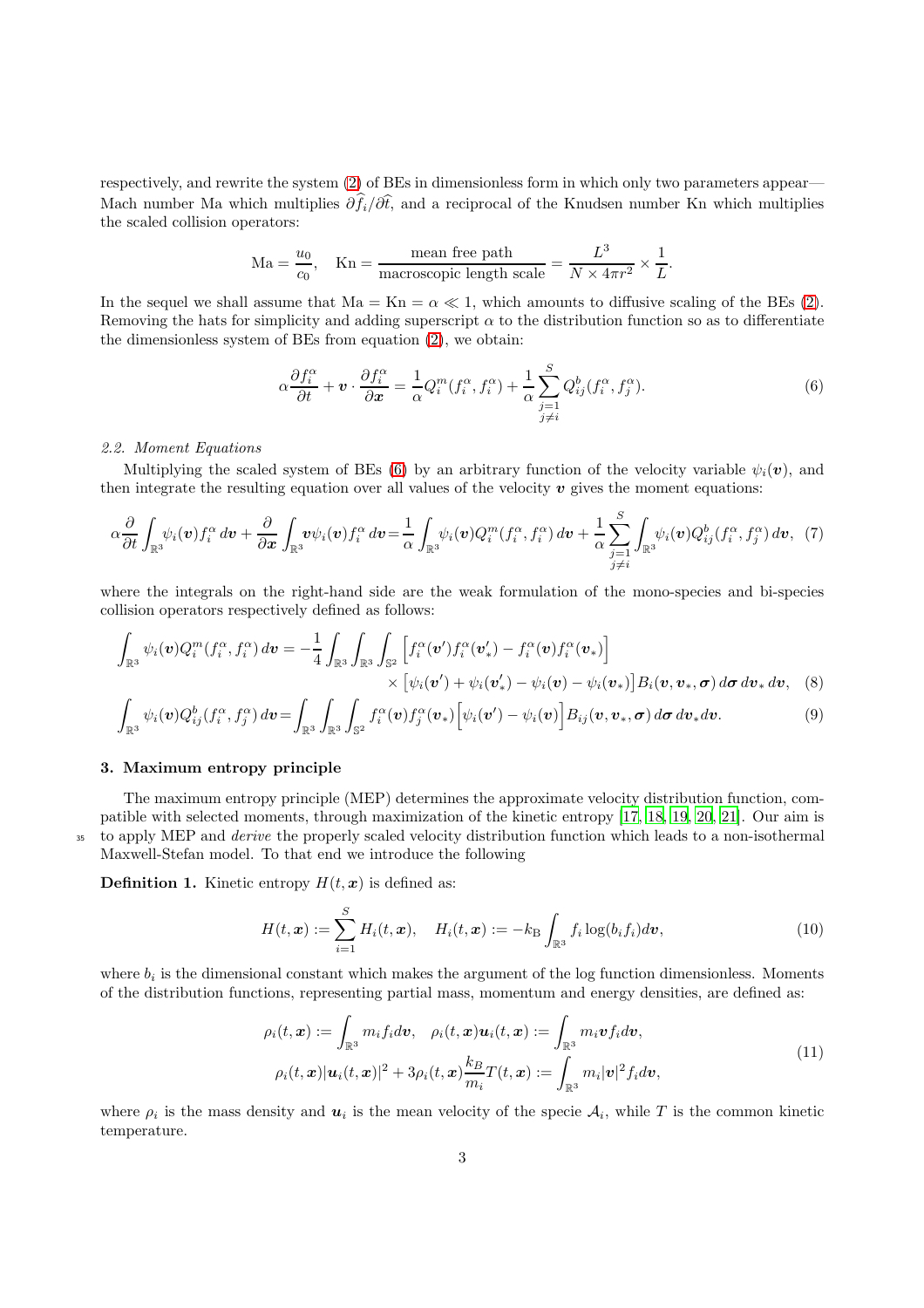respectively, and rewrite the system [\(2\)](#page-1-1) of BEs in dimensionless form in which only two parameters appear— Mach number Ma which multiplies  $\partial \hat{f}_i/\partial \hat{t}$ , and a reciprocal of the Knudsen number Kn which multiplies the scaled collision operators:

$$
\text{Ma} = \frac{u_0}{c_0}, \quad \text{Kn} = \frac{\text{mean free path}}{\text{macroscopic length scale}} = \frac{L^3}{N \times 4\pi r^2} \times \frac{1}{L}.
$$

In the sequel we shall assume that  $Ma = Kn = \alpha \ll 1$ , which amounts to diffusive scaling of the BEs [\(2\)](#page-1-1). Removing the hats for simplicity and adding superscript  $\alpha$  to the distribution function so as to differentiate the dimensionless system of BEs from equation [\(2\)](#page-1-1), we obtain:

<span id="page-2-1"></span><span id="page-2-0"></span>
$$
\alpha \frac{\partial f_i^{\alpha}}{\partial t} + \boldsymbol{v} \cdot \frac{\partial f_i^{\alpha}}{\partial \boldsymbol{x}} = \frac{1}{\alpha} Q_i^m(f_i^{\alpha}, f_i^{\alpha}) + \frac{1}{\alpha} \sum_{\substack{j=1 \ j \neq i}}^S Q_{ij}^b(f_i^{\alpha}, f_j^{\alpha}).
$$
\n(6)

### *2.2. Moment Equations*

Multiplying the scaled system of BEs [\(6\)](#page-2-0) by an arbitrary function of the velocity variable  $\psi_i(\mathbf{v})$ , and then integrate the resulting equation over all values of the velocity  $\boldsymbol{v}$  gives the moment equations:

$$
\alpha \frac{\partial}{\partial t} \int_{\mathbb{R}^3} \psi_i(\mathbf{v}) f_i^{\alpha} d\mathbf{v} + \frac{\partial}{\partial x} \int_{\mathbb{R}^3} \mathbf{v} \psi_i(\mathbf{v}) f_i^{\alpha} d\mathbf{v} = \frac{1}{\alpha} \int_{\mathbb{R}^3} \psi_i(\mathbf{v}) Q_i^m(f_i^{\alpha}, f_i^{\alpha}) d\mathbf{v} + \frac{1}{\alpha} \sum_{\substack{j=1 \ j \neq i}}^S \int_{\mathbb{R}^3} \psi_i(\mathbf{v}) Q_{ij}^b(f_i^{\alpha}, f_j^{\alpha}) d\mathbf{v}, \tag{7}
$$

where the integrals on the right-hand side are the weak formulation of the mono-species and bi-species collision operators respectively defined as follows:

$$
\int_{\mathbb{R}^3} \psi_i(\mathbf{v}) Q_i^m(f_i^{\alpha}, f_i^{\alpha}) d\mathbf{v} = -\frac{1}{4} \int_{\mathbb{R}^3} \int_{\mathbb{R}^3} \int_{\mathbb{S}^2} \left[ f_i^{\alpha}(\mathbf{v}') f_i^{\alpha}(\mathbf{v}') - f_i^{\alpha}(\mathbf{v}) f_i^{\alpha}(\mathbf{v}_*) \right] \times \left[ \psi_i(\mathbf{v}') + \psi_i(\mathbf{v}') - \psi_i(\mathbf{v}) - \psi_i(\mathbf{v}_*) \right] B_i(\mathbf{v}, \mathbf{v}_*, \boldsymbol{\sigma}) d\boldsymbol{\sigma} d\mathbf{v}_* d\mathbf{v}, \quad (8)
$$

$$
\int_{\mathbb{R}^3} \psi_i(\boldsymbol{v}) Q_{ij}^b(f_i^{\alpha}, f_j^{\alpha}) d\boldsymbol{v} = \int_{\mathbb{R}^3} \int_{\mathbb{R}^3} \int_{\mathbb{S}^2} f_i^{\alpha}(\boldsymbol{v}) f_j^{\alpha}(\boldsymbol{v}_*) \Big[ \psi_i(\boldsymbol{v}') - \psi_i(\boldsymbol{v}) \Big] B_{ij}(\boldsymbol{v}, \boldsymbol{v}_*, \boldsymbol{\sigma}) d\boldsymbol{\sigma} d\boldsymbol{v}_* d\boldsymbol{v}.
$$
\n(9)

#### 3. Maximum entropy principle

The maximum entropy principle (MEP) determines the approximate velocity distribution function, compatible with selected moments, through maximization of the kinetic entropy [\[17,](#page-6-16) [18,](#page-6-17) [19,](#page-6-18) [20,](#page-6-19) [21\]](#page-6-20). Our aim is <sup>35</sup> to apply MEP and *derive* the properly scaled velocity distribution function which leads to a non-isothermal Maxwell-Stefan model. To that end we introduce the following

**Definition 1.** Kinetic entropy  $H(t, x)$  is defined as:

<span id="page-2-3"></span><span id="page-2-2"></span>
$$
H(t, \boldsymbol{x}) := \sum_{i=1}^{S} H_i(t, \boldsymbol{x}), \quad H_i(t, \boldsymbol{x}) := -k \sum_{\mathbb{R}^3} f_i \log(b_i f_i) d\boldsymbol{v}, \tag{10}
$$

where  $b_i$  is the dimensional constant which makes the argument of the log function dimensionless. Moments of the distribution functions, representing partial mass, momentum and energy densities, are defined as:

$$
\rho_i(t, \mathbf{x}) := \int_{\mathbb{R}^3} m_i f_i d\mathbf{v}, \quad \rho_i(t, \mathbf{x}) \mathbf{u}_i(t, \mathbf{x}) := \int_{\mathbb{R}^3} m_i \mathbf{v} f_i d\mathbf{v},
$$
  

$$
\rho_i(t, \mathbf{x}) |\mathbf{u}_i(t, \mathbf{x})|^2 + 3\rho_i(t, \mathbf{x}) \frac{k_B}{m_i} T(t, \mathbf{x}) := \int_{\mathbb{R}^3} m_i |\mathbf{v}|^2 f_i d\mathbf{v},
$$
\n(11)

where  $\rho_i$  is the mass density and  $u_i$  is the mean velocity of the specie  $\mathcal{A}_i$ , while T is the common kinetic temperature.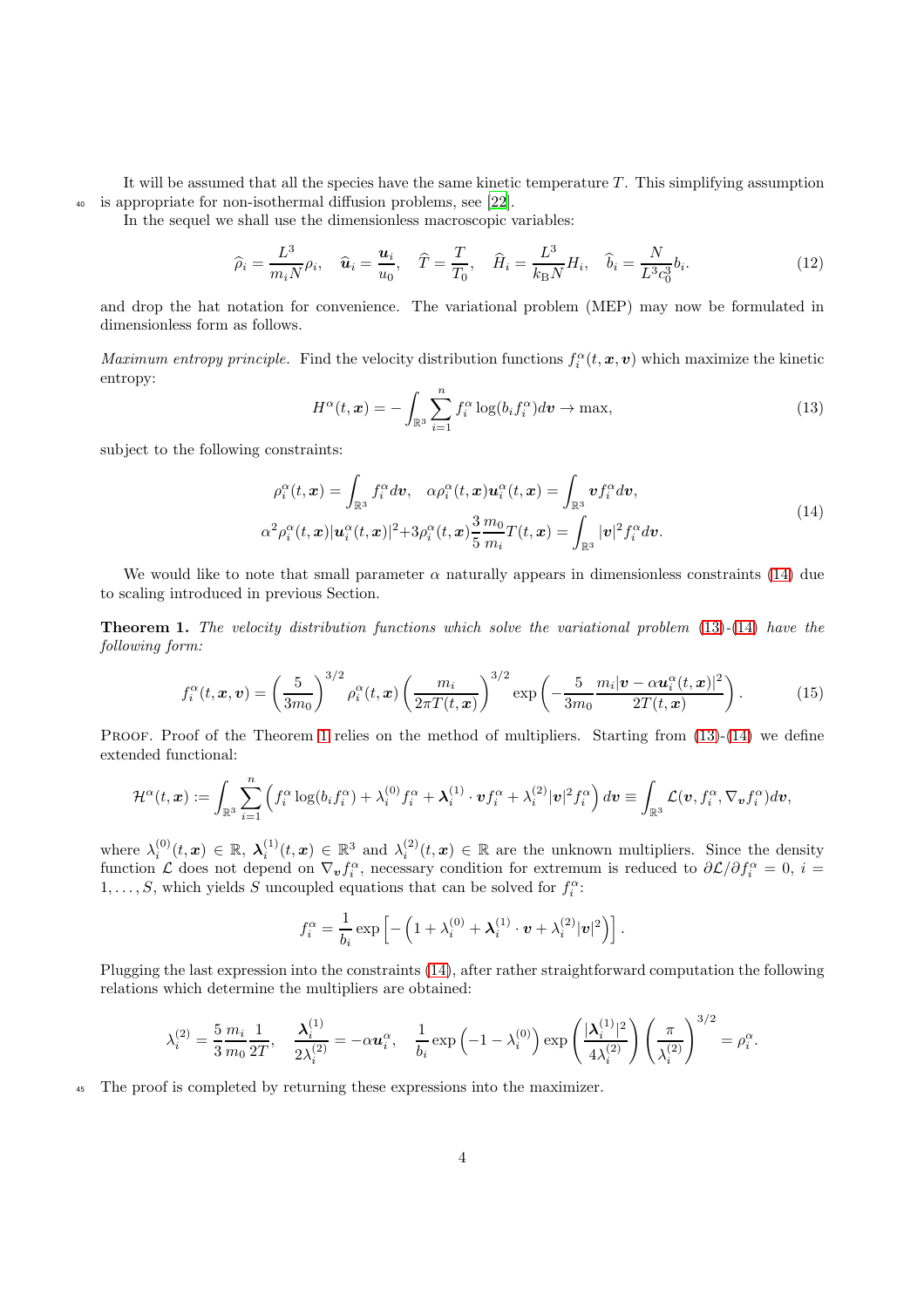It will be assumed that all the species have the same kinetic temperature  $T$ . This simplifying assumption <sup>40</sup> is appropriate for non-isothermal diffusion problems, see [\[22](#page-6-21)].

In the sequel we shall use the dimensionless macroscopic variables:

$$
\widehat{\rho}_i = \frac{L^3}{m_i N} \rho_i, \quad \widehat{\mathbf{u}}_i = \frac{\mathbf{u}_i}{u_0}, \quad \widehat{T} = \frac{T}{T_0}, \quad \widehat{H}_i = \frac{L^3}{k_B N} H_i, \quad \widehat{b}_i = \frac{N}{L^3 c_0^3} b_i. \tag{12}
$$

and drop the hat notation for convenience. The variational problem (MEP) may now be formulated in dimensionless form as follows.

<span id="page-3-2"></span>*Maximum entropy principle.* Find the velocity distribution functions  $f_i^{\alpha}(t, x, v)$  which maximize the kinetic entropy:

<span id="page-3-1"></span>
$$
H^{\alpha}(t,\boldsymbol{x}) = -\int_{\mathbb{R}^3} \sum_{i=1}^n f_i^{\alpha} \log(b_i f_i^{\alpha}) d\boldsymbol{v} \to \max,
$$
\n(13)

subject to the following constraints:

$$
\rho_i^{\alpha}(t, \mathbf{x}) = \int_{\mathbb{R}^3} f_i^{\alpha} d\mathbf{v}, \quad \alpha \rho_i^{\alpha}(t, \mathbf{x}) \mathbf{u}_i^{\alpha}(t, \mathbf{x}) = \int_{\mathbb{R}^3} \mathbf{v} f_i^{\alpha} d\mathbf{v},
$$
\n
$$
\alpha^2 \rho_i^{\alpha}(t, \mathbf{x}) |\mathbf{u}_i^{\alpha}(t, \mathbf{x})|^2 + 3\rho_i^{\alpha}(t, \mathbf{x}) \frac{3}{5} \frac{m_0}{m_i} T(t, \mathbf{x}) = \int_{\mathbb{R}^3} |\mathbf{v}|^2 f_i^{\alpha} d\mathbf{v}.
$$
\n(14)

<span id="page-3-0"></span>We would like to note that small parameter  $\alpha$  naturally appears in dimensionless constraints [\(14\)](#page-3-1) due to scaling introduced in previous Section.

Theorem 1. *The velocity distribution functions which solve the variational problem* [\(13\)](#page-3-2)*-*[\(14\)](#page-3-1) *have the following form:*

<span id="page-3-3"></span>
$$
f_i^{\alpha}(t, \boldsymbol{x}, \boldsymbol{v}) = \left(\frac{5}{3m_0}\right)^{3/2} \rho_i^{\alpha}(t, \boldsymbol{x}) \left(\frac{m_i}{2\pi T(t, \boldsymbol{x})}\right)^{3/2} \exp\left(-\frac{5}{3m_0} \frac{m_i |\boldsymbol{v} - \alpha \boldsymbol{u}_i^{\alpha}(t, \boldsymbol{x})|^2}{2T(t, \boldsymbol{x})}\right).
$$
(15)

PROOF. Proof of the Theorem [1](#page-3-0) relies on the method of multipliers. Starting from [\(13\)](#page-3-2)-[\(14\)](#page-3-1) we define extended functional:

$$
\mathcal{H}^{\alpha}(t,\boldsymbol{x}):=\int_{\mathbb{R}^3}\sum_{i=1}^n\left( f_i^{\alpha}\log(b_if_i^{\alpha})+\lambda_i^{(0)}f_i^{\alpha}+\boldsymbol{\lambda}_i^{(1)}\cdot \boldsymbol{v} f_i^{\alpha}+\lambda_i^{(2)}|\boldsymbol{v}|^2f_i^{\alpha}\right)d\boldsymbol{v}\equiv\int_{\mathbb{R}^3}\mathcal{L}(\boldsymbol{v},f_i^{\alpha},\nabla_{\boldsymbol{v}}f_i^{\alpha})d\boldsymbol{v},
$$

where  $\lambda_i^{(0)}(t,\mathbf{x}) \in \mathbb{R}$ ,  $\lambda_i^{(1)}(t,\mathbf{x}) \in \mathbb{R}^3$  and  $\lambda_i^{(2)}(t,\mathbf{x}) \in \mathbb{R}$  are the unknown multipliers. Since the density function L does not depend on  $\nabla_{\bm{v}} f_i^{\alpha}$ , necessary condition for extremum is reduced to  $\partial \mathcal{L}/\partial f_i^{\alpha} = 0$ ,  $i =$  $1, \ldots, S$ , which yields S uncoupled equations that can be solved for  $f_i^{\alpha}$ :

$$
f_i^{\alpha} = \frac{1}{b_i} \exp \left[ -\left(1 + \lambda_i^{(0)} + \boldsymbol{\lambda}_i^{(1)} \cdot \boldsymbol{v} + \lambda_i^{(2)} |\boldsymbol{v}|^2 \right) \right].
$$

Plugging the last expression into the constraints [\(14\)](#page-3-1), after rather straightforward computation the following relations which determine the multipliers are obtained:

$$
\lambda_i^{(2)} = \frac{5}{3} \frac{m_i}{m_0} \frac{1}{2T}, \quad \frac{\lambda_i^{(1)}}{2\lambda_i^{(2)}} = -\alpha \mathbf{u}_i^{\alpha}, \quad \frac{1}{b_i} \exp\left(-1 - \lambda_i^{(0)}\right) \exp\left(\frac{|\lambda_i^{(1)}|^2}{4\lambda_i^{(2)}}\right) \left(\frac{\pi}{\lambda_i^{(2)}}\right)^{3/2} = \rho_i^{\alpha}.
$$

<sup>45</sup> The proof is completed by returning these expressions into the maximizer.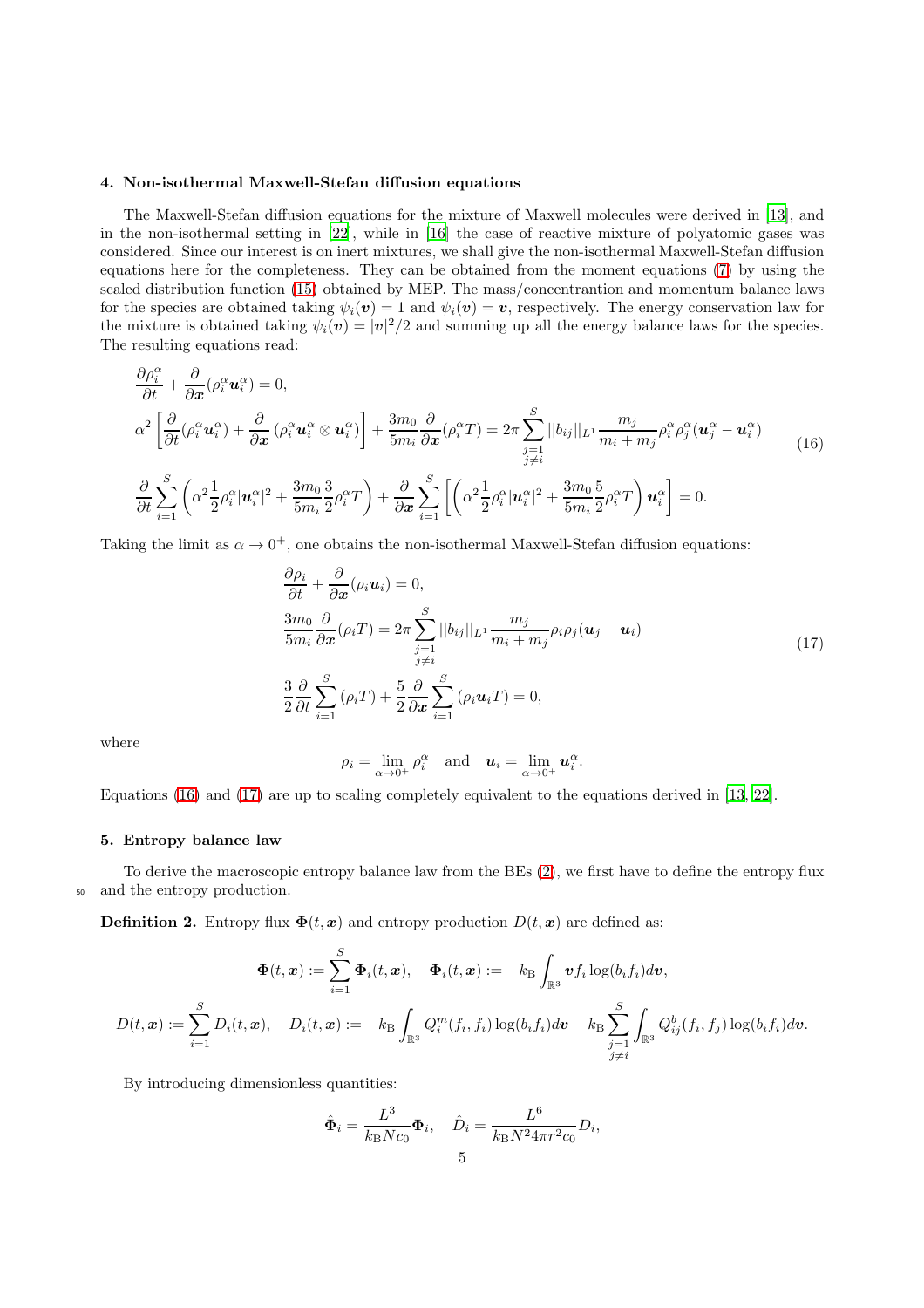# 4. Non-isothermal Maxwell-Stefan diffusion equations

The Maxwell-Stefan diffusion equations for the mixture of Maxwell molecules were derived in [\[13\]](#page-6-12), and in the non-isothermal setting in [\[22](#page-6-21)], while in [\[16\]](#page-6-15) the case of reactive mixture of polyatomic gases was considered. Since our interest is on inert mixtures, we shall give the non-isothermal Maxwell-Stefan diffusion equations here for the completeness. They can be obtained from the moment equations [\(7\)](#page-2-1) by using the scaled distribution function [\(15\)](#page-3-3) obtained by MEP. The mass/concentrantion and momentum balance laws for the species are obtained taking  $\psi_i(\mathbf{v}) = 1$  and  $\psi_i(\mathbf{v}) = \mathbf{v}$ , respectively. The energy conservation law for the mixture is obtained taking  $\psi_i(\mathbf{v}) = |\mathbf{v}|^2/2$  and summing up all the energy balance laws for the species. The resulting equations read:

<span id="page-4-0"></span>
$$
\frac{\partial \rho_i^{\alpha}}{\partial t} + \frac{\partial}{\partial x} (\rho_i^{\alpha} \mathbf{u}_i^{\alpha}) = 0,
$$
\n
$$
\alpha^2 \left[ \frac{\partial}{\partial t} (\rho_i^{\alpha} \mathbf{u}_i^{\alpha}) + \frac{\partial}{\partial x} (\rho_i^{\alpha} \mathbf{u}_i^{\alpha} \otimes \mathbf{u}_i^{\alpha}) \right] + \frac{3m_0}{5m_i} \frac{\partial}{\partial x} (\rho_i^{\alpha} T) = 2\pi \sum_{\substack{j=1 \ j \neq i}}^S ||b_{ij}||_{L^1} \frac{m_j}{m_i + m_j} \rho_i^{\alpha} \rho_j^{\alpha} (\mathbf{u}_j^{\alpha} - \mathbf{u}_i^{\alpha})
$$
\n
$$
\frac{\partial}{\partial t} \sum_{i=1}^S \left( \alpha^2 \frac{1}{2} \rho_i^{\alpha} |\mathbf{u}_i^{\alpha}|^2 + \frac{3m_0}{5m_i} \frac{3}{2} \rho_i^{\alpha} T \right) + \frac{\partial}{\partial x} \sum_{i=1}^S \left[ \left( \alpha^2 \frac{1}{2} \rho_i^{\alpha} |\mathbf{u}_i^{\alpha}|^2 + \frac{3m_0}{5m_i} \frac{5}{2} \rho_i^{\alpha} T \right) \mathbf{u}_i^{\alpha} \right] = 0.
$$
\n(16)

Taking the limit as  $\alpha \to 0^+$ , one obtains the non-isothermal Maxwell-Stefan diffusion equations:

$$
\frac{\partial \rho_i}{\partial t} + \frac{\partial}{\partial x} (\rho_i \mathbf{u}_i) = 0,
$$
\n
$$
\frac{3m_0}{5m_i} \frac{\partial}{\partial x} (\rho_i T) = 2\pi \sum_{\substack{j=1 \ j \neq i}}^S ||b_{ij}||_{L^1} \frac{m_j}{m_i + m_j} \rho_i \rho_j (\mathbf{u}_j - \mathbf{u}_i)
$$
\n
$$
\frac{3}{2} \frac{\partial}{\partial t} \sum_{i=1}^S (\rho_i T) + \frac{5}{2} \frac{\partial}{\partial x} \sum_{i=1}^S (\rho_i \mathbf{u}_i T) = 0,
$$
\n(17)

where

<span id="page-4-1"></span>
$$
\rho_i = \lim_{\alpha \to 0^+} \rho_i^{\alpha} \quad \text{and} \quad \boldsymbol{u}_i = \lim_{\alpha \to 0^+} \boldsymbol{u}_i^{\alpha}.
$$

Equations [\(16\)](#page-4-0) and [\(17\)](#page-4-1) are up to scaling completely equivalent to the equations derived in [\[13,](#page-6-12) [22\]](#page-6-21).

#### 5. Entropy balance law

To derive the macroscopic entropy balance law from the BEs [\(2\)](#page-1-1), we first have to define the entropy flux <sup>50</sup> and the entropy production.

**Definition 2.** Entropy flux  $\Phi(t, x)$  and entropy production  $D(t, x)$  are defined as:

$$
\boldsymbol{\Phi}(t,\boldsymbol{x}):=\sum_{i=1}^S \boldsymbol{\Phi}_i(t,\boldsymbol{x}),\quad \boldsymbol{\Phi}_i(t,\boldsymbol{x}):=-k_\mathrm{B}\int_{\mathbb{R}^3} \boldsymbol{v} f_i\log(b_if_i)d\boldsymbol{v},\\ D(t,\boldsymbol{x}):=\sum_{i=1}^S D_i(t,\boldsymbol{x}),\quad D_i(t,\boldsymbol{x}):=-k_\mathrm{B}\int_{\mathbb{R}^3} Q_i^m(f_i,f_i)\log(b_if_i)d\boldsymbol{v}-k_\mathrm{B}\sum_{\substack{j=1\\j\neq i}}^S \int_{\mathbb{R}^3} Q_{ij}^b(f_i,f_j)\log(b_if_i)d\boldsymbol{v}.
$$

By introducing dimensionless quantities:

$$
\hat{\Phi}_i = \frac{L^3}{k_B N c_0} \Phi_i, \quad \hat{D}_i = \frac{L^6}{k_B N^2 4\pi r^2 c_0} D_i,
$$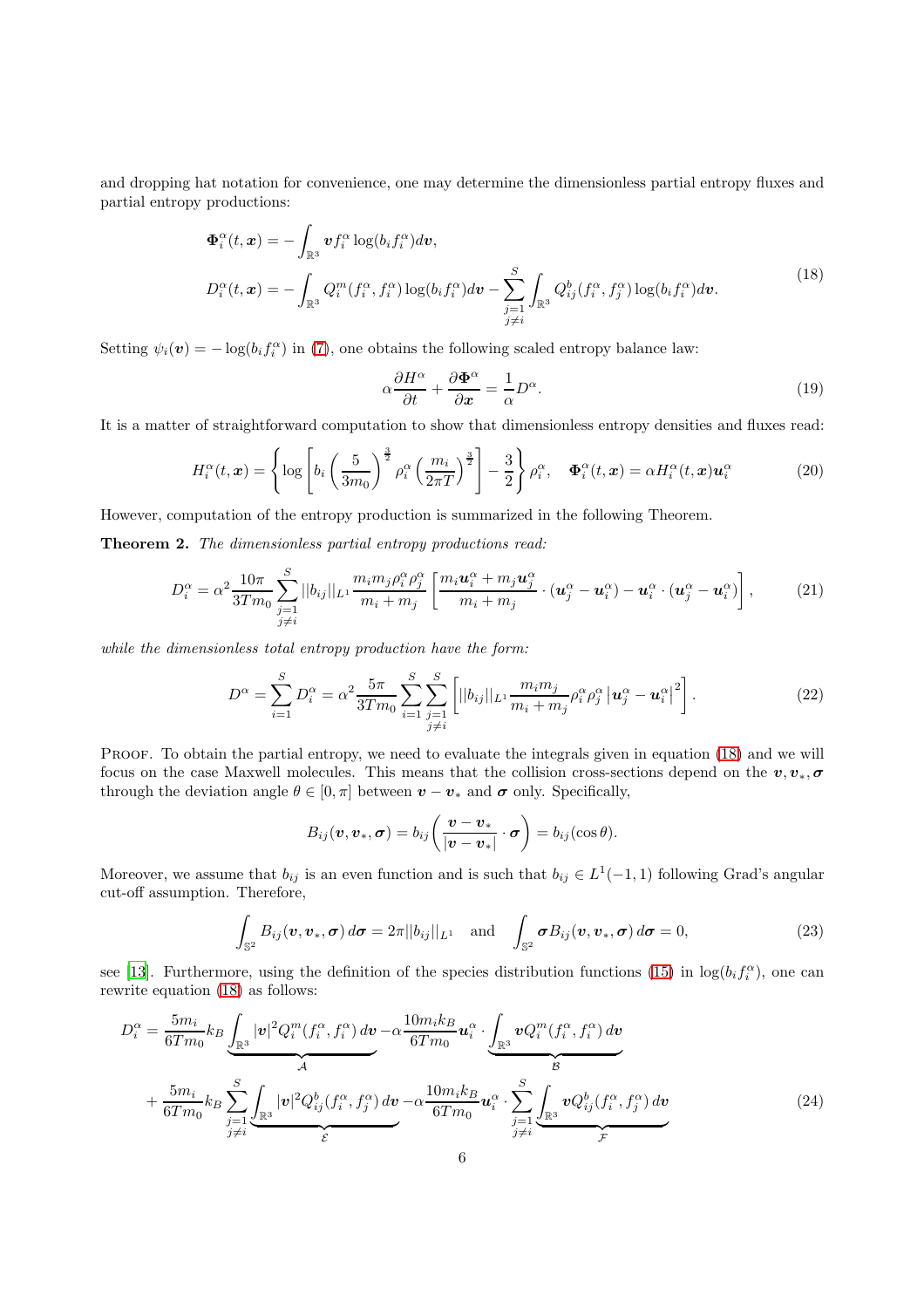and dropping hat notation for convenience, one may determine the dimensionless partial entropy fluxes and partial entropy productions:

<span id="page-5-1"></span>
$$
\Phi_i^{\alpha}(t, \mathbf{x}) = -\int_{\mathbb{R}^3} \mathbf{v} f_i^{\alpha} \log(b_i f_i^{\alpha}) d\mathbf{v},
$$
\n
$$
D_i^{\alpha}(t, \mathbf{x}) = -\int_{\mathbb{R}^3} Q_i^m(f_i^{\alpha}, f_i^{\alpha}) \log(b_i f_i^{\alpha}) d\mathbf{v} - \sum_{\substack{j=1 \ j \neq i}}^S \int_{\mathbb{R}^3} Q_{ij}^b(f_i^{\alpha}, f_j^{\alpha}) \log(b_i f_i^{\alpha}) d\mathbf{v}.
$$
\n(18)

Setting  $\psi_i(\boldsymbol{v}) = -\log(b_i f_i^{\alpha})$  in [\(7\)](#page-2-1), one obtains the following scaled entropy balance law:

<span id="page-5-4"></span><span id="page-5-0"></span>
$$
\alpha \frac{\partial H^{\alpha}}{\partial t} + \frac{\partial \Phi^{\alpha}}{\partial x} = \frac{1}{\alpha} D^{\alpha}.
$$
 (19)

It is a matter of straightforward computation to show that dimensionless entropy densities and fluxes read:

$$
H_i^{\alpha}(t, \mathbf{x}) = \left\{ \log \left[ b_i \left( \frac{5}{3m_0} \right)^{\frac{3}{2}} \rho_i^{\alpha} \left( \frac{m_i}{2\pi T} \right)^{\frac{3}{2}} \right] - \frac{3}{2} \right\} \rho_i^{\alpha}, \quad \Phi_i^{\alpha}(t, \mathbf{x}) = \alpha H_i^{\alpha}(t, \mathbf{x}) \mathbf{u}_i^{\alpha} \tag{20}
$$

However, computation of the entropy production is summarized in the following Theorem.

Theorem 2. *The dimensionless partial entropy productions read:*

$$
D_i^{\alpha} = \alpha^2 \frac{10\pi}{3Tm_0} \sum_{\substack{j=1 \ j \neq i}}^S ||b_{ij}||_{L^1} \frac{m_i m_j \rho_i^{\alpha} \rho_j^{\alpha}}{m_i + m_j} \left[ \frac{m_i \mathbf{u}_i^{\alpha} + m_j \mathbf{u}_j^{\alpha}}{m_i + m_j} \cdot (\mathbf{u}_j^{\alpha} - \mathbf{u}_i^{\alpha}) - \mathbf{u}_i^{\alpha} \cdot (\mathbf{u}_j^{\alpha} - \mathbf{u}_i^{\alpha}) \right],
$$
 (21)

*while the dimensionless total entropy production have the form:*

$$
D^{\alpha} = \sum_{i=1}^{S} D_i^{\alpha} = \alpha^2 \frac{5\pi}{3Tm_0} \sum_{i=1}^{S} \sum_{\substack{j=1 \ j \neq i}}^{S} \left[ ||b_{ij}||_{L^1} \frac{m_i m_j}{m_i + m_j} \rho_i^{\alpha} \rho_j^{\alpha} | \mathbf{u}_j^{\alpha} - \mathbf{u}_i^{\alpha} |^2 \right].
$$
 (22)

PROOF. To obtain the partial entropy, we need to evaluate the integrals given in equation [\(18\)](#page-5-1) and we will focus on the case Maxwell molecules. This means that the collision cross-sections depend on the  $v, v_*, \sigma$ through the deviation angle  $\theta \in [0, \pi]$  between  $\boldsymbol{v} - \boldsymbol{v}_*$  and  $\boldsymbol{\sigma}$  only. Specifically,

<span id="page-5-5"></span><span id="page-5-3"></span><span id="page-5-2"></span>
$$
B_{ij}(\boldsymbol{v},\boldsymbol{v}_*,\boldsymbol{\sigma})=b_{ij}\bigg(\frac{\boldsymbol{v}-\boldsymbol{v}_*}{|\boldsymbol{v}-\boldsymbol{v}_*|}\cdot\boldsymbol{\sigma}\bigg)=b_{ij}(\cos\theta).
$$

Moreover, we assume that  $b_{ij}$  is an even function and is such that  $b_{ij} \in L^1(-1,1)$  following Grad's angular cut-off assumption. Therefore,

$$
\int_{\mathbb{S}^2} B_{ij}(\boldsymbol{v}, \boldsymbol{v}_*, \boldsymbol{\sigma}) d\boldsymbol{\sigma} = 2\pi ||b_{ij}||_{L^1} \text{ and } \int_{\mathbb{S}^2} \boldsymbol{\sigma} B_{ij}(\boldsymbol{v}, \boldsymbol{v}_*, \boldsymbol{\sigma}) d\boldsymbol{\sigma} = 0,
$$
\n(23)

see [\[13\]](#page-6-12). Furthermore, using the definition of the species distribution functions [\(15\)](#page-3-3) in  $\log(b_i f_i^{\alpha})$ , one can rewrite equation [\(18\)](#page-5-1) as follows:

$$
D_i^{\alpha} = \frac{5m_i}{6Tm_0} k_B \underbrace{\int_{\mathbb{R}^3} |\mathbf{v}|^2 Q_i^m(f_i^{\alpha}, f_i^{\alpha}) d\mathbf{v}}_{\mathcal{A}} - \alpha \frac{10m_i k_B}{6Tm_0} \mathbf{u}_i^{\alpha} \cdot \underbrace{\int_{\mathbb{R}^3} \mathbf{v} Q_i^m(f_i^{\alpha}, f_i^{\alpha}) d\mathbf{v}}_{\mathcal{B}}}{\frac{5m_i}{6Tm_0} k_B \sum_{\substack{j=1 \ j \neq i}}^{S} |\mathbf{v}|^2 Q_{ij}^b(f_i^{\alpha}, f_j^{\alpha}) d\mathbf{v}}{\varepsilon} - \alpha \frac{10m_i k_B}{6Tm_0} \mathbf{u}_i^{\alpha} \cdot \underbrace{\sum_{j=1}^{S} \int_{\mathbb{R}^3} \mathbf{v} Q_{ij}^b(f_i^{\alpha}, f_j^{\alpha}) d\mathbf{v}}_{\mathcal{F}}}
$$
(24)